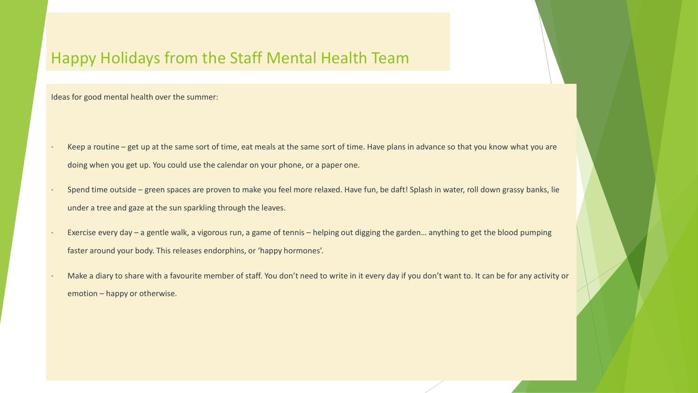#### Happy Holidays from the Staff Mental Health Team

Ideas for good mental health over the summer:

- Keep a routine get up at the same sort of time, eat meals at the same sort of time. Have plans in advance so that you know what you are doing when you get up. You could use the calendar on your phone, or a paper one.
- Spend time outside green spaces are proven to make you feel more relaxed. Have fun, be daft! Splash in water, roll down grassy banks, lie under a tree and gaze at the sun sparkling through the leaves.
- Exercise every day a gentle walk, a vigorous run, a game of tennis helping out digging the garden… anything to get the blood pumping faster around your body. This releases endorphins, or 'happy hormones'.
- Make a diary to share with a favourite member of staff. You don't need to write in it every day if you don't want to. It can be for any activity or emotion – happy or otherwise.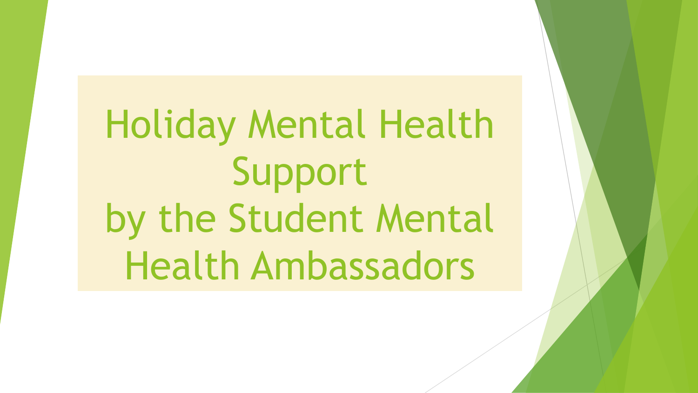Holiday Mental Health Support by the Student Mental Health Ambassadors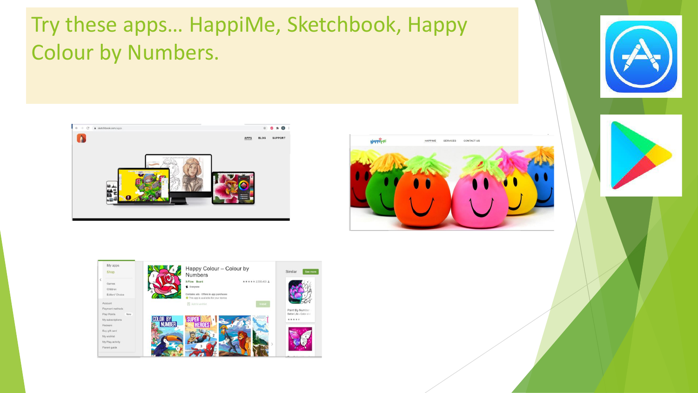### Try these apps… HappiMe, Sketchbook, Happy Colour by Numbers.







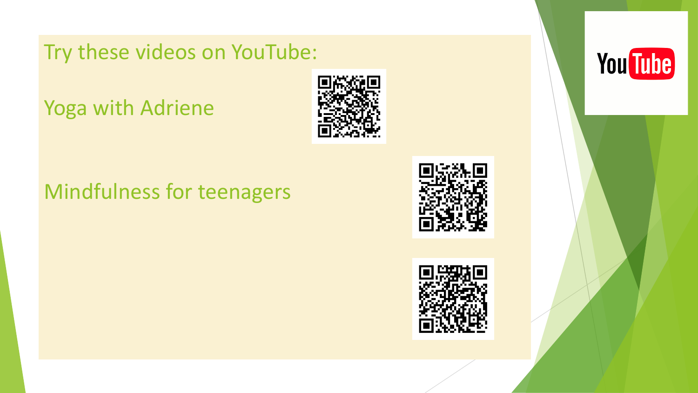Try these videos on YouTube:

Yoga with Adriene



#### Mindfulness for teenagers





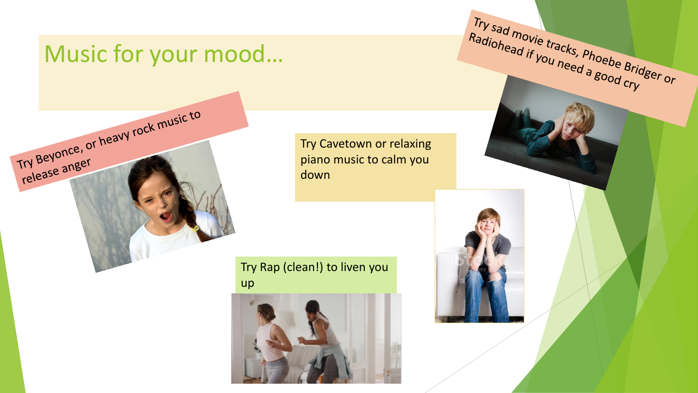#### Music for your mood…

Try Beyonce, or heavy rock music to

Try Beyonce,

Try Cavetown or relaxing piano music to calm you down

Try Rap (clean!) to liven you up



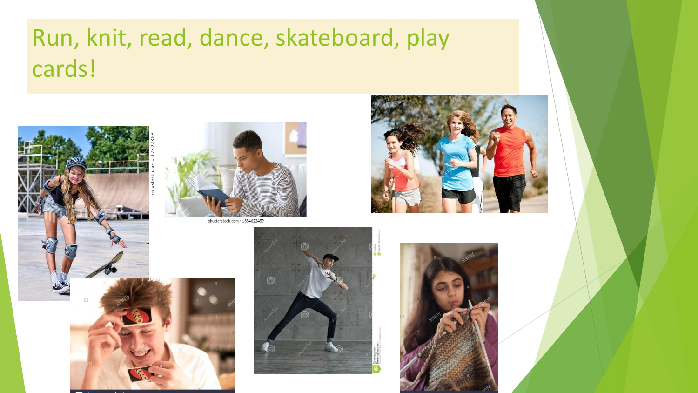# Run, knit, read, dance, skateboard, play cards!





shutterstock.com · 1384622459